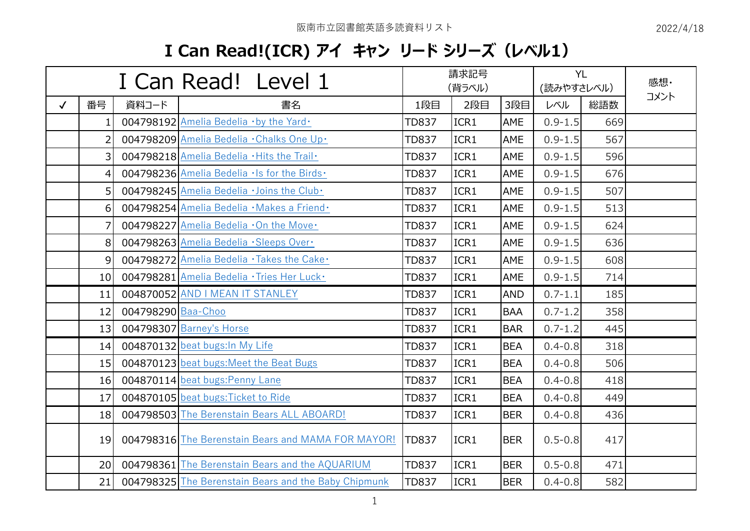## **I Can Read!(ICR) アイ キャン リード シリーズ(レベル1)**

|              |                  |                    | I Can Read! Level 1                                  | 請求記号<br>(背ラベル) |      |            | <b>YL</b><br>(読みやすさレベル) |     | 感想·  |
|--------------|------------------|--------------------|------------------------------------------------------|----------------|------|------------|-------------------------|-----|------|
| $\checkmark$ | 番号               | 資料コード              | 書名                                                   | 1段目            | 2段目  | 3段目        | レベル                     | 総語数 | コメント |
|              | 1.               |                    | 004798192 Amelia Bedelia · by the Yard ·             | <b>TD837</b>   | ICR1 | AME        | $0.9 - 1.5$             | 669 |      |
|              | $\overline{2}$   |                    | 004798209 Amelia Bedelia · Chalks One Up ·           | <b>TD837</b>   | ICR1 | AME        | $0.9 - 1.5$             | 567 |      |
|              | $\overline{3}$   |                    | 004798218 Amelia Bedelia . Hits the Trail.           | <b>TD837</b>   | ICR1 | AME        | $0.9 - 1.5$             | 596 |      |
|              | $\overline{4}$   |                    | 004798236 Amelia Bedelia . Is for the Birds.         | <b>TD837</b>   | ICR1 | AME        | $0.9 - 1.5$             | 676 |      |
|              | 5 <sup>1</sup>   |                    | 004798245 Amelia Bedelia · Joins the Club ·          | <b>TD837</b>   | ICR1 | AME        | $0.9 - 1.5$             | 507 |      |
|              | $6 \overline{6}$ |                    | 004798254 Amelia Bedelia · Makes a Friend ·          | <b>TD837</b>   | ICR1 | AME        | $0.9 - 1.5$             | 513 |      |
|              | 7                |                    | 004798227 Amelia Bedelia .On the Move.               | <b>TD837</b>   | ICR1 | AME        | $0.9 - 1.5$             | 624 |      |
|              | 8                |                    | 004798263 Amelia Bedelia · Sleeps Over·              | <b>TD837</b>   | ICR1 | AME        | $0.9 - 1.5$             | 636 |      |
|              | $\overline{9}$   |                    | 004798272 Amelia Bedelia · Takes the Cake ·          | <b>TD837</b>   | ICR1 | AME        | $0.9 - 1.5$             | 608 |      |
|              | 10 <sup>1</sup>  |                    | 004798281 Amelia Bedelia · Tries Her Luck ·          | <b>TD837</b>   | ICR1 | AME        | $0.9 - 1.5$             | 714 |      |
|              | 11               |                    | 004870052 AND I MEAN IT STANLEY                      | <b>TD837</b>   | ICR1 | <b>AND</b> | $0.7 - 1.1$             | 185 |      |
|              | 12               | 004798290 Baa-Choo |                                                      | <b>TD837</b>   | ICR1 | <b>BAA</b> | $0.7 - 1.2$             | 358 |      |
|              | 13               |                    | 004798307 Barney's Horse                             | <b>TD837</b>   | ICR1 | <b>BAR</b> | $0.7 - 1.2$             | 445 |      |
|              | 14               |                    | 004870132 beat bugs: In My Life                      | <b>TD837</b>   | ICR1 | <b>BEA</b> | $0.4 - 0.8$             | 318 |      |
|              | 15               |                    | 004870123 beat bugs: Meet the Beat Bugs              | <b>TD837</b>   | ICR1 | <b>BEA</b> | $0.4 - 0.8$             | 506 |      |
|              | 16               |                    | 004870114 beat bugs: Penny Lane                      | <b>TD837</b>   | ICR1 | <b>BEA</b> | $0.4 - 0.8$             | 418 |      |
|              | 17               |                    | 004870105 beat bugs: Ticket to Ride                  | <b>TD837</b>   | ICR1 | <b>BEA</b> | $0.4 - 0.8$             | 449 |      |
|              | 18               |                    | 004798503 The Berenstain Bears ALL ABOARD!           | <b>TD837</b>   | ICR1 | <b>BER</b> | $0.4 - 0.8$             | 436 |      |
|              | 19 <sup>1</sup>  |                    | 004798316 The Berenstain Bears and MAMA FOR MAYOR!   | <b>TD837</b>   | ICR1 | <b>BER</b> | $0.5 - 0.8$             | 417 |      |
|              | 20               |                    | 004798361 The Berenstain Bears and the AQUARIUM      | <b>TD837</b>   | ICR1 | <b>BER</b> | $0.5 - 0.8$             | 471 |      |
|              | 21               |                    | 004798325 The Berenstain Bears and the Baby Chipmunk | <b>TD837</b>   | ICR1 | <b>BER</b> | $0.4 - 0.8$             | 582 |      |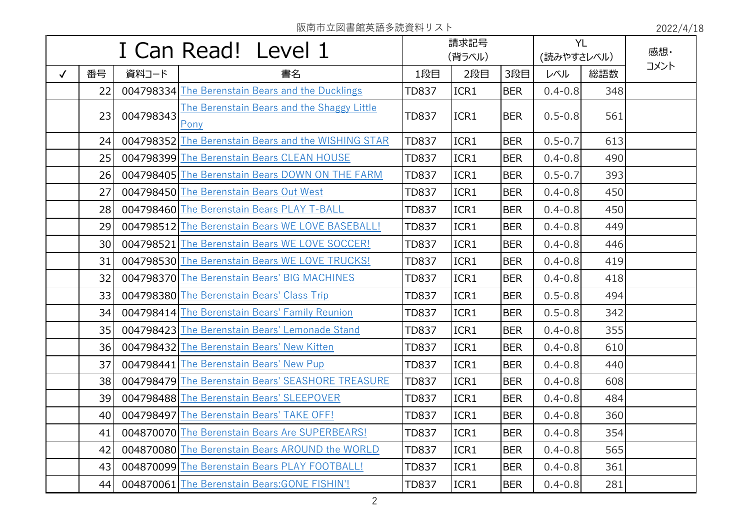|              |                 |           | I Can Read! Level 1                                   |              | 請求記号<br>(背ラベル) |            | <b>YL</b><br>(読みやすさレベル) |     | 感想·  |
|--------------|-----------------|-----------|-------------------------------------------------------|--------------|----------------|------------|-------------------------|-----|------|
| $\checkmark$ | 番号              | 資料コード     | 書名                                                    | 1段目          | 2段目            | 3段目        | レベル                     | 総語数 | コメント |
|              | 22              |           | 004798334 The Berenstain Bears and the Ducklings      | <b>TD837</b> | ICR1           | <b>BER</b> | $0.4 - 0.8$             | 348 |      |
|              | 23              | 004798343 | The Berenstain Bears and the Shaggy Little<br>Pony    | <b>TD837</b> | ICR1           | <b>BER</b> | $0.5 - 0.8$             | 561 |      |
|              | 24              |           | 004798352 The Berenstain Bears and the WISHING STAR   | <b>TD837</b> | ICR1           | <b>BER</b> | $0.5 - 0.7$             | 613 |      |
|              | 25              |           | 004798399 The Berenstain Bears CLEAN HOUSE            | <b>TD837</b> | ICR1           | <b>BER</b> | $0.4 - 0.8$             | 490 |      |
|              | 26              |           | 004798405 The Berenstain Bears DOWN ON THE FARM       | <b>TD837</b> | ICR1           | <b>BER</b> | $0.5 - 0.7$             | 393 |      |
|              | 27              |           | 004798450 The Berenstain Bears Out West               | <b>TD837</b> | ICR1           | <b>BER</b> | $0.4 - 0.8$             | 450 |      |
|              | 28              |           | 004798460 The Berenstain Bears PLAY T-BALL            | <b>TD837</b> | ICR1           | <b>BER</b> | $0.4 - 0.8$             | 450 |      |
|              | 29              |           | 004798512 The Berenstain Bears WE LOVE BASEBALL!      | <b>TD837</b> | ICR1           | <b>BER</b> | $0.4 - 0.8$             | 449 |      |
|              | 30 <sup>1</sup> |           | 004798521 The Berenstain Bears WE LOVE SOCCER!        | <b>TD837</b> | ICR1           | <b>BER</b> | $0.4 - 0.8$             | 446 |      |
|              | 31              |           | 004798530 The Berenstain Bears WE LOVE TRUCKS!        | <b>TD837</b> | ICR1           | <b>BER</b> | $0.4 - 0.8$             | 419 |      |
|              | 32              |           | 004798370 The Berenstain Bears' BIG MACHINES          | <b>TD837</b> | ICR1           | <b>BER</b> | $0.4 - 0.8$             | 418 |      |
|              | 33              |           | 004798380 The Berenstain Bears' Class Trip            | <b>TD837</b> | ICR1           | <b>BER</b> | $0.5 - 0.8$             | 494 |      |
|              | 34              |           | 004798414 The Berenstain Bears' Family Reunion        | <b>TD837</b> | ICR1           | <b>BER</b> | $0.5 - 0.8$             | 342 |      |
|              | 35              |           | 004798423 The Berenstain Bears' Lemonade Stand        | <b>TD837</b> | ICR1           | <b>BER</b> | $0.4 - 0.8$             | 355 |      |
|              | 36              |           | 004798432 The Berenstain Bears' New Kitten            | <b>TD837</b> | ICR1           | <b>BER</b> | $0.4 - 0.8$             | 610 |      |
|              | 37              |           | 004798441 The Berenstain Bears' New Pup               | <b>TD837</b> | ICR1           | <b>BER</b> | $0.4 - 0.8$             | 440 |      |
|              | 38              |           | 004798479 The Berenstain Bears' SEASHORE TREASURE     | <b>TD837</b> | ICR1           | <b>BER</b> | $0.4 - 0.8$             | 608 |      |
|              | 39              |           | 004798488 The Berenstain Bears' SLEEPOVER             | <b>TD837</b> | ICR1           | <b>BER</b> | $0.4 - 0.8$             | 484 |      |
|              | 40              |           | 004798497 The Berenstain Bears' TAKE OFF!             | <b>TD837</b> | ICR1           | <b>BER</b> | $0.4 - 0.8$             | 360 |      |
|              | 41              |           | <b>004870070</b> The Berenstain Bears Are SUPERBEARS! | <b>TD837</b> | ICR1           | <b>BER</b> | $0.4 - 0.8$             | 354 |      |
|              | 42              |           | 004870080 The Berenstain Bears AROUND the WORLD       | <b>TD837</b> | ICR1           | <b>BER</b> | $0.4 - 0.8$             | 565 |      |
|              | 43              |           | 004870099 The Berenstain Bears PLAY FOOTBALL!         | <b>TD837</b> | ICR1           | <b>BER</b> | $0.4 - 0.8$             | 361 |      |
|              | 44              |           | 004870061 The Berenstain Bears: GONE FISHIN!          | <b>TD837</b> | ICR1           | <b>BER</b> | $0.4 - 0.8$             | 281 |      |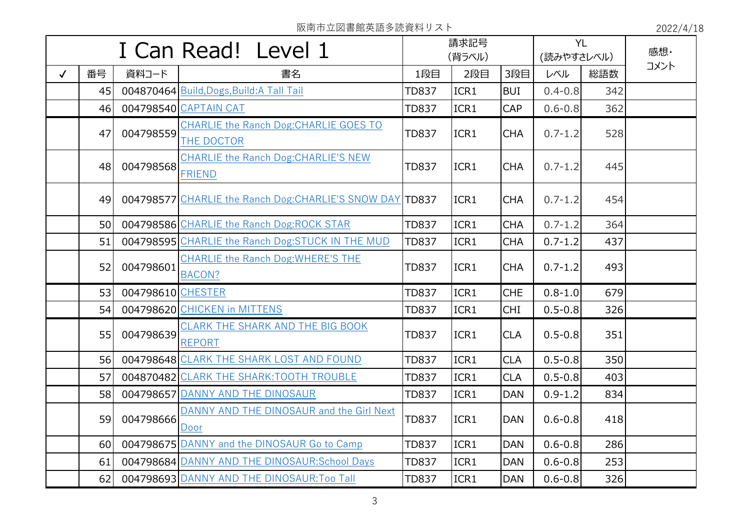|              | I Can Read! Level 1 |                   |                                                              | 請求記号<br>(背ラベル) |      | <b>YL</b><br>(読みやすさレベル) |             | 感想· |      |
|--------------|---------------------|-------------------|--------------------------------------------------------------|----------------|------|-------------------------|-------------|-----|------|
| $\checkmark$ | 番号                  | 資料コード             | 書名                                                           | 1段目            | 2段目  | 3段目                     | レベル         | 総語数 | コメント |
|              | 45                  |                   | 004870464 Build, Dogs, Build: A Tall Tail                    | <b>TD837</b>   | ICR1 | <b>BUI</b>              | $0.4 - 0.8$ | 342 |      |
|              | 46                  |                   | 004798540 CAPTAIN CAT                                        | <b>TD837</b>   | ICR1 | CAP                     | $0.6 - 0.8$ | 362 |      |
|              | 47                  | 004798559         | CHARLIE the Ranch Dog: CHARLIE GOES TO<br>THE DOCTOR         | <b>TD837</b>   | ICR1 | <b>CHA</b>              | $0.7 - 1.2$ | 528 |      |
|              | 48                  | 004798568         | <b>CHARLIE the Ranch Dog: CHARLIE'S NEW</b><br><b>FRIEND</b> | <b>TD837</b>   | ICR1 | <b>CHA</b>              | $0.7 - 1.2$ | 445 |      |
|              | 49                  |                   | 004798577 CHARLIE the Ranch Dog: CHARLIE'S SNOW DAY TD837    |                | ICR1 | <b>CHA</b>              | $0.7 - 1.2$ | 454 |      |
|              | 50                  |                   | 004798586 CHARLIE the Ranch Dog:ROCK STAR                    | <b>TD837</b>   | ICR1 | <b>CHA</b>              | $0.7 - 1.2$ | 364 |      |
|              | 51                  |                   | 004798595 CHARLIE the Ranch Dog: STUCK IN THE MUD            | <b>TD837</b>   | ICR1 | <b>CHA</b>              | $0.7 - 1.2$ | 437 |      |
|              | 52                  | 004798601         | <b>CHARLIE the Ranch Dog: WHERE'S THE</b><br>BACON?          | <b>TD837</b>   | ICR1 | <b>CHA</b>              | $0.7 - 1.2$ | 493 |      |
|              | 53                  | 004798610 CHESTER |                                                              | <b>TD837</b>   | ICR1 | <b>CHE</b>              | $0.8 - 1.0$ | 679 |      |
|              | 54                  |                   | 004798620 CHICKEN in MITTENS                                 | <b>TD837</b>   | ICR1 | <b>CHI</b>              | $0.5 - 0.8$ | 326 |      |
|              | 55                  | 004798639         | CLARK THE SHARK AND THE BIG BOOK<br><b>REPORT</b>            | <b>TD837</b>   | ICR1 | <b>CLA</b>              | $0.5 - 0.8$ | 351 |      |
|              | 56                  |                   | 004798648 CLARK THE SHARK LOST AND FOUND                     | <b>TD837</b>   | ICR1 | <b>CLA</b>              | $0.5 - 0.8$ | 350 |      |
|              | 57                  |                   | 004870482 CLARK THE SHARK: TOOTH TROUBLE                     | <b>TD837</b>   | ICR1 | <b>CLA</b>              | $0.5 - 0.8$ | 403 |      |
|              | 58                  |                   | 004798657 DANNY AND THE DINOSAUR                             | <b>TD837</b>   | ICR1 | <b>DAN</b>              | $0.9 - 1.2$ | 834 |      |
|              | 59                  | 004798666         | DANNY AND THE DINOSAUR and the Girl Next<br>Door             | <b>TD837</b>   | ICR1 | <b>DAN</b>              | $0.6 - 0.8$ | 418 |      |
|              | 60                  |                   | 004798675 DANNY and the DINOSAUR Go to Camp                  | <b>TD837</b>   | ICR1 | <b>DAN</b>              | $0.6 - 0.8$ | 286 |      |
|              | 61                  |                   | 004798684 DANNY AND THE DINOSAUR: School Days                | <b>TD837</b>   | ICR1 | <b>DAN</b>              | $0.6 - 0.8$ | 253 |      |
|              | 62                  |                   | 004798693 DANNY AND THE DINOSAUR: Too Tall                   | <b>TD837</b>   | ICR1 | <b>DAN</b>              | $0.6 - 0.8$ | 326 |      |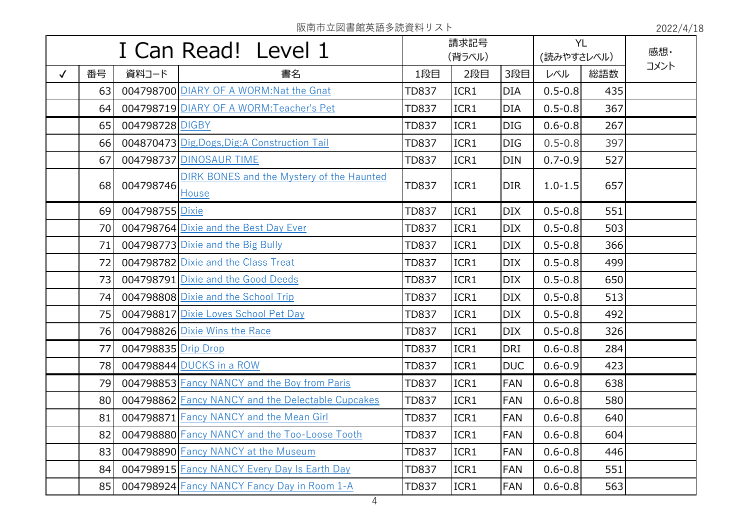|              |    |                     | I Can Read! Level 1                                |              | 請求記号<br>(背ラベル) |            | <b>YL</b><br>(読みやすさレベル) |     | 感想·  |
|--------------|----|---------------------|----------------------------------------------------|--------------|----------------|------------|-------------------------|-----|------|
| $\checkmark$ | 番号 | 資料コード               | 書名                                                 | 1段目          | 2段目            | 3段目        | レベル                     | 総語数 | コメント |
|              | 63 |                     | 004798700 DIARY OF A WORM: Nat the Gnat            | <b>TD837</b> | ICR1           | <b>DIA</b> | $0.5 - 0.8$             | 435 |      |
|              | 64 |                     | 004798719 DIARY OF A WORM: Teacher's Pet           | <b>TD837</b> | ICR1           | <b>DIA</b> | $0.5 - 0.8$             | 367 |      |
|              | 65 | 004798728 DIGBY     |                                                    | <b>TD837</b> | ICR1           | <b>DIG</b> | $0.6 - 0.8$             | 267 |      |
|              | 66 |                     | 004870473 Dig, Dogs, Dig: A Construction Tail      | <b>TD837</b> | ICR1           | <b>DIG</b> | $0.5 - 0.8$             | 397 |      |
|              | 67 |                     | 004798737 DINOSAUR TIME                            | <b>TD837</b> | ICR1           | <b>DIN</b> | $0.7 - 0.9$             | 527 |      |
|              | 68 | 004798746           | DIRK BONES and the Mystery of the Haunted<br>House | <b>TD837</b> | ICR1           | <b>DIR</b> | $1.0 - 1.5$             | 657 |      |
|              | 69 | 004798755 Dixie     |                                                    | <b>TD837</b> | ICR1           | <b>DIX</b> | $0.5 - 0.8$             | 551 |      |
|              | 70 |                     | 004798764 Dixie and the Best Day Ever              | <b>TD837</b> | ICR1           | <b>DIX</b> | $0.5 - 0.8$             | 503 |      |
|              | 71 |                     | 004798773 Dixie and the Big Bully                  | <b>TD837</b> | ICR1           | <b>DIX</b> | $0.5 - 0.8$             | 366 |      |
|              | 72 |                     | 004798782 Dixie and the Class Treat                | TD837        | ICR1           | <b>DIX</b> | $0.5 - 0.8$             | 499 |      |
|              | 73 |                     | 004798791 Dixie and the Good Deeds                 | <b>TD837</b> | ICR1           | <b>DIX</b> | $0.5 - 0.8$             | 650 |      |
|              | 74 |                     | 004798808 Dixie and the School Trip                | <b>TD837</b> | ICR1           | <b>DIX</b> | $0.5 - 0.8$             | 513 |      |
|              | 75 |                     | 004798817 Dixie Loves School Pet Day               | TD837        | ICR1           | <b>DIX</b> | $0.5 - 0.8$             | 492 |      |
|              | 76 |                     | 004798826 Dixie Wins the Race                      | <b>TD837</b> | ICR1           | <b>DIX</b> | $0.5 - 0.8$             | 326 |      |
|              | 77 | 004798835 Drip Drop |                                                    | <b>TD837</b> | ICR1           | <b>DRI</b> | $0.6 - 0.8$             | 284 |      |
|              | 78 |                     | 004798844 DUCKS in a ROW                           | <b>TD837</b> | ICR1           | <b>DUC</b> | $0.6 - 0.9$             | 423 |      |
|              | 79 |                     | 004798853 Fancy NANCY and the Boy from Paris       | <b>TD837</b> | ICR1           | <b>FAN</b> | $0.6 - 0.8$             | 638 |      |
|              | 80 |                     | 004798862 Fancy NANCY and the Delectable Cupcakes  | <b>TD837</b> | ICR1           | <b>FAN</b> | $0.6 - 0.8$             | 580 |      |
|              | 81 |                     | 004798871 Fancy NANCY and the Mean Girl            | <b>TD837</b> | ICR1           | <b>FAN</b> | $0.6 - 0.8$             | 640 |      |
|              | 82 |                     | 004798880 Fancy NANCY and the Too-Loose Tooth      | <b>TD837</b> | ICR1           | <b>FAN</b> | $0.6 - 0.8$             | 604 |      |
|              | 83 |                     | 004798890 Fancy NANCY at the Museum                | <b>TD837</b> | ICR1           | <b>FAN</b> | $0.6 - 0.8$             | 446 |      |
|              | 84 |                     | 004798915 Fancy NANCY Every Day Is Earth Day       | <b>TD837</b> | ICR1           | FAN        | $0.6 - 0.8$             | 551 |      |
|              | 85 |                     | 004798924 Fancy NANCY Fancy Day in Room 1-A        | <b>TD837</b> | ICR1           | <b>FAN</b> | $0.6 - 0.8$             | 563 |      |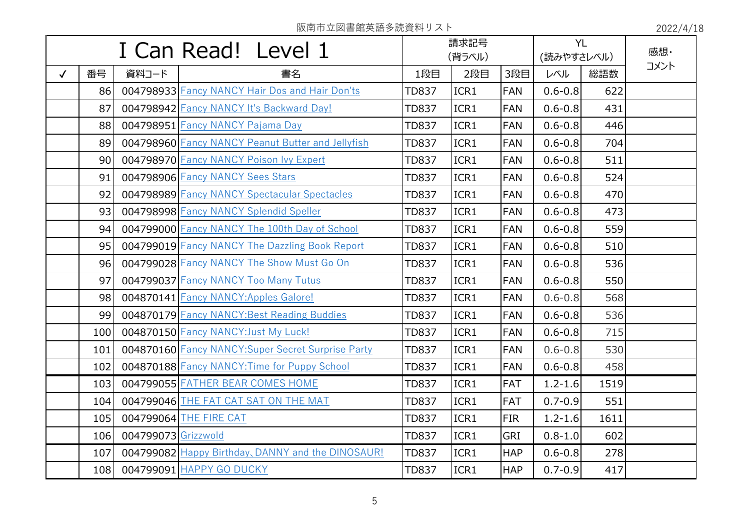|              |                 |                     | I Can Read! Level 1                                       |              | 請求記号<br>(背ラベル) |            | <b>YL</b><br>(読みやすさレベル) |      | 感想·  |
|--------------|-----------------|---------------------|-----------------------------------------------------------|--------------|----------------|------------|-------------------------|------|------|
| $\checkmark$ | 番号              | 資料コード               | 書名                                                        | 1段目          | 2段目            | 3段目        | レベル                     | 総語数  | コメント |
|              | 86              |                     | 004798933 Fancy NANCY Hair Dos and Hair Don'ts            | <b>TD837</b> | ICR1           | <b>FAN</b> | $0.6 - 0.8$             | 622  |      |
|              | 87              |                     | 004798942 Fancy NANCY It's Backward Day!                  | <b>TD837</b> | ICR1           | <b>FAN</b> | $0.6 - 0.8$             | 431  |      |
|              | 88              |                     | 004798951 Fancy NANCY Pajama Day                          | <b>TD837</b> | ICR1           | <b>FAN</b> | $0.6 - 0.8$             | 446  |      |
|              | 89              |                     | 004798960 Fancy NANCY Peanut Butter and Jellyfish         | <b>TD837</b> | ICR1           | <b>FAN</b> | $0.6 - 0.8$             | 704  |      |
|              | 90 <sub>l</sub> |                     | 004798970 Fancy NANCY Poison Ivy Expert                   | <b>TD837</b> | ICR1           | <b>FAN</b> | $0.6 - 0.8$             | 511  |      |
|              | 91              |                     | 004798906 Fancy NANCY Sees Stars                          | <b>TD837</b> | ICR1           | <b>FAN</b> | $0.6 - 0.8$             | 524  |      |
|              | 92              |                     | 004798989 Fancy NANCY Spectacular Spectacles              | <b>TD837</b> | ICR1           | <b>FAN</b> | $0.6 - 0.8$             | 470  |      |
|              | 93              |                     | 004798998 Fancy NANCY Splendid Speller                    | <b>TD837</b> | ICR1           | <b>FAN</b> | $0.6 - 0.8$             | 473  |      |
|              | 94              |                     | 004799000 Fancy NANCY The 100th Day of School             | <b>TD837</b> | ICR1           | <b>FAN</b> | $0.6 - 0.8$             | 559  |      |
|              | 95              |                     | 004799019 Fancy NANCY The Dazzling Book Report            | <b>TD837</b> | ICR1           | <b>FAN</b> | $0.6 - 0.8$             | 510  |      |
|              | 96              |                     | 004799028 Fancy NANCY The Show Must Go On                 | <b>TD837</b> | ICR1           | <b>FAN</b> | $0.6 - 0.8$             | 536  |      |
|              | 97              |                     | 004799037 Fancy NANCY Too Many Tutus                      | TD837        | ICR1           | <b>FAN</b> | $0.6 - 0.8$             | 550  |      |
|              | 98              |                     | 004870141 Fancy NANCY: Apples Galore!                     | <b>TD837</b> | ICR1           | <b>FAN</b> | $0.6 - 0.8$             | 568  |      |
|              | 99              |                     | 004870179 Fancy NANCY: Best Reading Buddies               | <b>TD837</b> | ICR1           | <b>FAN</b> | $0.6 - 0.8$             | 536  |      |
|              | 100             |                     | 004870150 Fancy NANCY: Just My Luck!                      | <b>TD837</b> | ICR1           | <b>FAN</b> | $0.6 - 0.8$             | 715  |      |
|              | 101             |                     | <b>004870160 Fancy NANCY: Super Secret Surprise Party</b> | <b>TD837</b> | ICR1           | <b>FAN</b> | $0.6 - 0.8$             | 530  |      |
|              | 102             |                     | 004870188 Fancy NANCY: Time for Puppy School              | <b>TD837</b> | ICR1           | <b>FAN</b> | $0.6 - 0.8$             | 458  |      |
|              | 103             |                     | 004799055 FATHER BEAR COMES HOME                          | <b>TD837</b> | ICR1           | <b>FAT</b> | $1.2 - 1.6$             | 1519 |      |
|              | 104             |                     | 004799046 THE FAT CAT SAT ON THE MAT                      | <b>TD837</b> | ICR1           | <b>FAT</b> | $0.7 - 0.9$             | 551  |      |
|              | 105             |                     | 004799064 THE FIRE CAT                                    | <b>TD837</b> | ICR1           | <b>FIR</b> | $1.2 - 1.6$             | 1611 |      |
|              | 106             | 004799073 Grizzwold |                                                           | <b>TD837</b> | ICR1           | <b>GRI</b> | $0.8 - 1.0$             | 602  |      |
|              | 107             |                     | 004799082 Happy Birthday, DANNY and the DINOSAUR!         | <b>TD837</b> | ICR1           | <b>HAP</b> | $0.6 - 0.8$             | 278  |      |
|              | 108             |                     | 004799091 HAPPY GO DUCKY                                  | <b>TD837</b> | ICR1           | <b>HAP</b> | $0.7 - 0.9$             | 417  |      |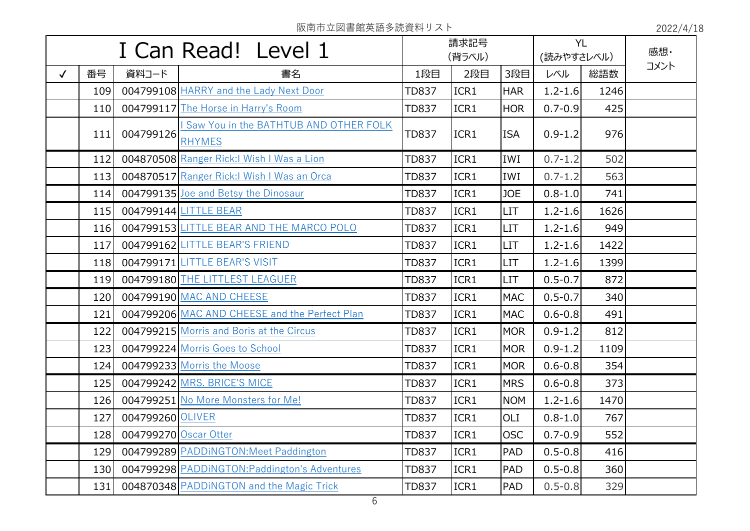|              |     |                       | I Can Read! Level 1                                    |              | 請求記号<br>(背ラベル) |            | <b>YL</b><br>(読みやすさレベル) |      | 感想·  |
|--------------|-----|-----------------------|--------------------------------------------------------|--------------|----------------|------------|-------------------------|------|------|
| $\checkmark$ | 番号  | 資料コード                 | 書名                                                     | 1段目          | 2段目            | 3段目        | レベル                     | 総語数  | コメント |
|              | 109 |                       | 004799108 HARRY and the Lady Next Door                 | <b>TD837</b> | ICR1           | <b>HAR</b> | $1.2 - 1.6$             | 1246 |      |
|              | 110 |                       | 004799117 The Horse in Harry's Room                    | <b>TD837</b> | ICR1           | <b>HOR</b> | $0.7 - 0.9$             | 425  |      |
|              | 111 | 004799126             | Saw You in the BATHTUB AND OTHER FOLK<br><b>RHYMES</b> | <b>TD837</b> | ICR1           | <b>ISA</b> | $0.9 - 1.2$             | 976  |      |
|              | 112 |                       | 004870508 Ranger Rick: I Wish I Was a Lion             | <b>TD837</b> | ICR1           | IWI        | $0.7 - 1.2$             | 502  |      |
|              | 113 |                       | 004870517 Ranger Rick: I Wish I Was an Orca            | <b>TD837</b> | ICR1           | IWI        | $0.7 - 1.2$             | 563  |      |
|              | 114 |                       | 004799135 Joe and Betsy the Dinosaur                   | <b>TD837</b> | ICR1           | <b>JOE</b> | $0.8 - 1.0$             | 741  |      |
|              | 115 |                       | 004799144 LITTLE BEAR                                  | <b>TD837</b> | ICR1           | <b>LIT</b> | $1.2 - 1.6$             | 1626 |      |
|              | 116 |                       | 004799153 LITTLE BEAR AND THE MARCO POLO               | <b>TD837</b> | ICR1           | <b>LIT</b> | $1.2 - 1.6$             | 949  |      |
|              | 117 |                       | 004799162 LITTLE BEAR'S FRIEND                         | <b>TD837</b> | ICR1           | <b>LIT</b> | $1.2 - 1.6$             | 1422 |      |
|              | 118 |                       | 004799171 LITTLE BEAR'S VISIT                          | <b>TD837</b> | ICR1           | <b>LIT</b> | $1.2 - 1.6$             | 1399 |      |
|              | 119 |                       | 004799180 THE LITTLEST LEAGUER                         | <b>TD837</b> | ICR1           | <b>LIT</b> | $0.5 - 0.7$             | 872  |      |
|              | 120 |                       | 004799190 MAC AND CHEESE                               | <b>TD837</b> | ICR1           | <b>MAC</b> | $0.5 - 0.7$             | 340  |      |
|              | 121 |                       | 004799206 MAC AND CHEESE and the Perfect Plan          | <b>TD837</b> | ICR1           | <b>MAC</b> | $0.6 - 0.8$             | 491  |      |
|              | 122 |                       | 004799215 Morris and Boris at the Circus               | <b>TD837</b> | ICR1           | <b>MOR</b> | $0.9 - 1.2$             | 812  |      |
|              | 123 |                       | 004799224 Morris Goes to School                        | <b>TD837</b> | ICR1           | <b>MOR</b> | $0.9 - 1.2$             | 1109 |      |
|              | 124 |                       | 004799233 Morris the Moose                             | <b>TD837</b> | ICR1           | <b>MOR</b> | $0.6 - 0.8$             | 354  |      |
|              | 125 |                       | 004799242 MRS. BRICE'S MICE                            | <b>TD837</b> | ICR1           | <b>MRS</b> | $0.6 - 0.8$             | 373  |      |
|              | 126 |                       | 004799251 No More Monsters for Me!                     | <b>TD837</b> | ICR1           | <b>NOM</b> | $1.2 - 1.6$             | 1470 |      |
|              | 127 | 004799260 OLIVER      |                                                        | <b>TD837</b> | ICR1           | OLI        | $0.8 - 1.0$             | 767  |      |
|              | 128 | 004799270 Oscar Otter |                                                        | <b>TD837</b> | ICR1           | <b>OSC</b> | $0.7 - 0.9$             | 552  |      |
|              | 129 |                       | 004799289 PADDINGTON: Meet Paddington                  | <b>TD837</b> | ICR1           | <b>PAD</b> | $0.5 - 0.8$             | 416  |      |
|              | 130 |                       | 004799298 PADDINGTON: Paddington's Adventures          | <b>TD837</b> | ICR1           | <b>PAD</b> | $0.5 - 0.8$             | 360  |      |
|              | 131 |                       | 004870348 PADDINGTON and the Magic Trick               | <b>TD837</b> | ICR1           | PAD        | $0.5 - 0.8$             | 329  |      |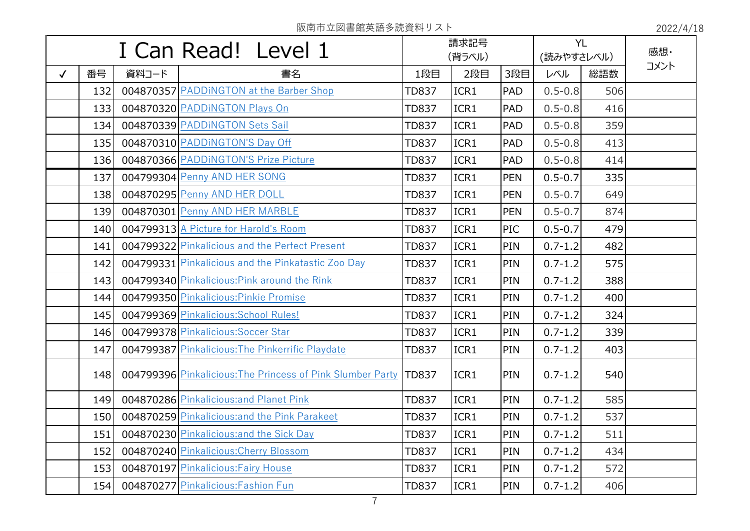|              | I Can Read! Level 1 |       |                                                            | 請求記号<br>(背ラベル) |      |            | <b>YL</b><br>(読みやすさレベル) |     | 感想·  |
|--------------|---------------------|-------|------------------------------------------------------------|----------------|------|------------|-------------------------|-----|------|
| $\checkmark$ | 番号                  | 資料コード | 書名                                                         | 1段目            | 2段目  | 3段目        | レベル                     | 総語数 | コメント |
|              | 132                 |       | 004870357 PADDINGTON at the Barber Shop                    | <b>TD837</b>   | ICR1 | <b>PAD</b> | $0.5 - 0.8$             | 506 |      |
|              | 133                 |       | 004870320 PADDINGTON Plays On                              | <b>TD837</b>   | ICR1 | PAD        | $0.5 - 0.8$             | 416 |      |
|              | 134                 |       | 004870339 PADDINGTON Sets Sail                             | <b>TD837</b>   | ICR1 | <b>PAD</b> | $0.5 - 0.8$             | 359 |      |
|              | 135                 |       | 004870310 PADDINGTON'S Day Off                             | <b>TD837</b>   | ICR1 | <b>PAD</b> | $0.5 - 0.8$             | 413 |      |
|              | 136                 |       | 004870366 PADDINGTON'S Prize Picture                       | <b>TD837</b>   | ICR1 | <b>PAD</b> | $0.5 - 0.8$             | 414 |      |
|              | 137                 |       | 004799304 Penny AND HER SONG                               | <b>TD837</b>   | ICR1 | <b>PEN</b> | $0.5 - 0.7$             | 335 |      |
|              | 138                 |       | 004870295 Penny AND HER DOLL                               | <b>TD837</b>   | ICR1 | <b>PEN</b> | $0.5 - 0.7$             | 649 |      |
|              | 139                 |       | 004870301 Penny AND HER MARBLE                             | <b>TD837</b>   | ICR1 | <b>PEN</b> | $0.5 - 0.7$             | 874 |      |
|              | 140                 |       | 004799313 A Picture for Harold's Room                      | <b>TD837</b>   | ICR1 | PIC        | $0.5 - 0.7$             | 479 |      |
|              | 141                 |       | 004799322 Pinkalicious and the Perfect Present             | <b>TD837</b>   | ICR1 | PIN        | $0.7 - 1.2$             | 482 |      |
|              | 142                 |       | 004799331 Pinkalicious and the Pinkatastic Zoo Day         | <b>TD837</b>   | ICR1 | PIN        | $0.7 - 1.2$             | 575 |      |
|              | 143                 |       | 004799340 Pinkalicious: Pink around the Rink               | <b>TD837</b>   | ICR1 | PIN        | $0.7 - 1.2$             | 388 |      |
|              | 144                 |       | 004799350 Pinkalicious: Pinkie Promise                     | <b>TD837</b>   | ICR1 | PIN        | $0.7 - 1.2$             | 400 |      |
|              | 145                 |       | 004799369 Pinkalicious: School Rules!                      | <b>TD837</b>   | ICR1 | PIN        | $0.7 - 1.2$             | 324 |      |
|              | 146                 |       | 004799378 Pinkalicious: Soccer Star                        | <b>TD837</b>   | ICR1 | PIN        | $0.7 - 1.2$             | 339 |      |
|              | 147                 |       | 004799387 Pinkalicious: The Pinkerrific Playdate           | <b>TD837</b>   | ICR1 | <b>PIN</b> | $0.7 - 1.2$             | 403 |      |
|              | 148                 |       | 004799396 Pinkalicious: The Princess of Pink Slumber Party | <b>TD837</b>   | ICR1 | PIN        | $0.7 - 1.2$             | 540 |      |
|              | 149                 |       | 004870286 Pinkalicious: and Planet Pink                    | <b>TD837</b>   | ICR1 | PIN        | $0.7 - 1.2$             | 585 |      |
|              | 150                 |       | 004870259 Pinkalicious: and the Pink Parakeet              | <b>TD837</b>   | ICR1 | PIN        | $0.7 - 1.2$             | 537 |      |
|              | 151                 |       | 004870230 Pinkalicious: and the Sick Day                   | <b>TD837</b>   | ICR1 | PIN        | $0.7 - 1.2$             | 511 |      |
|              | 152                 |       | 004870240 Pinkalicious: Cherry Blossom                     | <b>TD837</b>   | ICR1 | <b>PIN</b> | $0.7 - 1.2$             | 434 |      |
|              | 153                 |       | 004870197 Pinkalicious: Fairy House                        | <b>TD837</b>   | ICR1 | PIN        | $0.7 - 1.2$             | 572 |      |
|              | 154                 |       | 004870277 Pinkalicious: Fashion Fun                        | <b>TD837</b>   | ICR1 | PIN        | $0.7 - 1.2$             | 406 |      |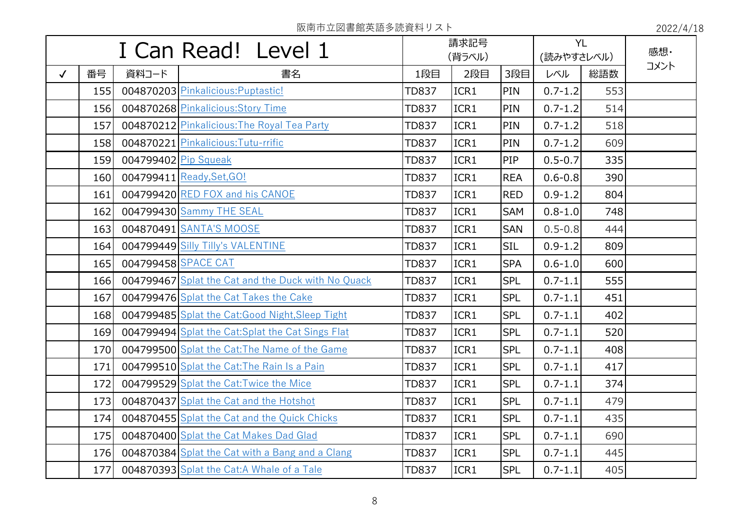|              | I Can Read! Level 1 |                      | 請求記号<br>(背ラベル)                                     |              |      | <b>YL</b><br>(読みやすさレベル) |             | 感想· |      |
|--------------|---------------------|----------------------|----------------------------------------------------|--------------|------|-------------------------|-------------|-----|------|
| $\checkmark$ | 番号                  | 資料コード                | 書名                                                 | 1段目          | 2段目  | 3段目                     | レベル         | 総語数 | コメント |
|              | 155                 |                      | 004870203 Pinkalicious: Puptastic!                 | TD837        | ICR1 | PIN                     | $0.7 - 1.2$ | 553 |      |
|              | 156                 |                      | 004870268 Pinkalicious: Story Time                 | <b>TD837</b> | ICR1 | PIN                     | $0.7 - 1.2$ | 514 |      |
|              | 157                 |                      | 004870212 Pinkalicious: The Royal Tea Party        | TD837        | ICR1 | PIN                     | $0.7 - 1.2$ | 518 |      |
|              | 158                 |                      | 004870221 Pinkalicious: Tutu-rrific                | <b>TD837</b> | ICR1 | PIN                     | $0.7 - 1.2$ | 609 |      |
|              | <b>159</b>          | 004799402 Pip Squeak |                                                    | <b>TD837</b> | ICR1 | PIP                     | $0.5 - 0.7$ | 335 |      |
|              | 160                 |                      | 004799411 Ready, Set, GO!                          | <b>TD837</b> | ICR1 | <b>REA</b>              | $0.6 - 0.8$ | 390 |      |
|              | 161                 |                      | 004799420 RED FOX and his CANOE                    | <b>TD837</b> | ICR1 | <b>RED</b>              | $0.9 - 1.2$ | 804 |      |
|              | 162                 |                      | 004799430 Sammy THE SEAL                           | TD837        | ICR1 | <b>SAM</b>              | $0.8 - 1.0$ | 748 |      |
|              | 163                 |                      | 004870491 SANTA'S MOOSE                            | <b>TD837</b> | ICR1 | <b>SAN</b>              | $0.5 - 0.8$ | 444 |      |
|              | 164                 |                      | 004799449 Silly Tilly's VALENTINE                  | <b>TD837</b> | ICR1 | <b>SIL</b>              | $0.9 - 1.2$ | 809 |      |
|              | 165                 |                      | 004799458 SPACE CAT                                | <b>TD837</b> | ICR1 | <b>SPA</b>              | $0.6 - 1.0$ | 600 |      |
|              | 166                 |                      | 004799467 Splat the Cat and the Duck with No Quack | <b>TD837</b> | ICR1 | <b>SPL</b>              | $0.7 - 1.1$ | 555 |      |
|              | 167                 |                      | 004799476 Splat the Cat Takes the Cake             | <b>TD837</b> | ICR1 | <b>SPL</b>              | $0.7 - 1.1$ | 451 |      |
|              | 168                 |                      | 004799485 Splat the Cat: Good Night, Sleep Tight   | TD837        | ICR1 | <b>SPL</b>              | $0.7 - 1.1$ | 402 |      |
|              | 169                 |                      | 004799494 Splat the Cat: Splat the Cat Sings Flat  | TD837        | ICR1 | <b>SPL</b>              | $0.7 - 1.1$ | 520 |      |
|              | <b>170</b>          |                      | 004799500 Splat the Cat: The Name of the Game      | <b>TD837</b> | ICR1 | <b>SPL</b>              | $0.7 - 1.1$ | 408 |      |
|              | 171                 |                      | 004799510 Splat the Cat: The Rain Is a Pain        | <b>TD837</b> | ICR1 | <b>SPL</b>              | $0.7 - 1.1$ | 417 |      |
|              | 172                 |                      | 004799529 Splat the Cat: Twice the Mice            | <b>TD837</b> | ICR1 | <b>SPL</b>              | $0.7 - 1.1$ | 374 |      |
|              | 173                 |                      | 004870437 Splat the Cat and the Hotshot            | TD837        | ICR1 | <b>SPL</b>              | $0.7 - 1.1$ | 479 |      |
|              | 174                 |                      | 004870455 Splat the Cat and the Quick Chicks       | <b>TD837</b> | ICR1 | <b>SPL</b>              | $0.7 - 1.1$ | 435 |      |
|              | 175                 |                      | 004870400 Splat the Cat Makes Dad Glad             | <b>TD837</b> | ICR1 | <b>SPL</b>              | $0.7 - 1.1$ | 690 |      |
|              | 176                 |                      | 004870384 Splat the Cat with a Bang and a Clang    | <b>TD837</b> | ICR1 | <b>SPL</b>              | $0.7 - 1.1$ | 445 |      |
|              | 177                 |                      | 004870393 Splat the Cat:A Whale of a Tale          | <b>TD837</b> | ICR1 | <b>SPL</b>              | $0.7 - 1.1$ | 405 |      |